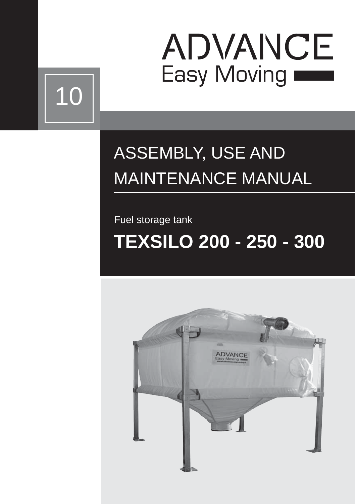

# 10

### ASSEMBLY, USE AND MAINTENANCE MANUAL

Fuel storage tank

## **TEXSILO 200 - 250 - 300**

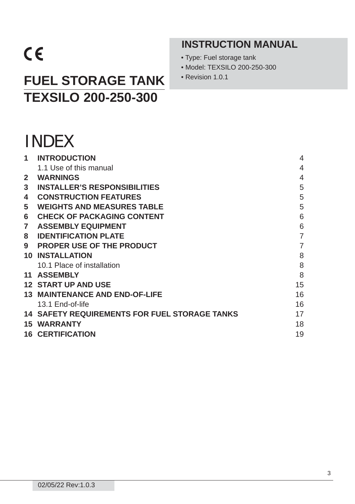## $C \in$

### **FUEL STORAGE TANK · Revision 1.0.1 TEXSILO 200-250-300**

- **INSTRUCTION MANUAL**
- Type: Fuel storage tank
- Model: TEXSILO 200-250-300
- 

|              | <b>INDEX</b>                                         |                          |
|--------------|------------------------------------------------------|--------------------------|
| 1            | <b>INTRODUCTION</b>                                  | $\overline{4}$           |
|              | 1.1 Use of this manual                               | $\overline{\mathcal{A}}$ |
| $\mathbf{2}$ | <b>WARNINGS</b>                                      | $\overline{4}$           |
| 3            | <b>INSTALLER'S RESPONSIBILITIES</b>                  | 5                        |
| 4            | <b>CONSTRUCTION FEATURES</b>                         | 5                        |
| 5            | <b>WEIGHTS AND MEASURES TABLE</b>                    | 5                        |
| 6            | <b>CHECK OF PACKAGING CONTENT</b>                    | 6                        |
| 7            | <b>ASSEMBLY EQUIPMENT</b>                            | 6                        |
| 8            | <b>IDENTIFICATION PLATE</b>                          | $\overline{7}$           |
| 9            | <b>PROPER USE OF THE PRODUCT</b>                     | $\overline{7}$           |
|              | <b>10 INSTALLATION</b>                               | 8                        |
|              | 10.1 Place of installation                           | 8                        |
|              | <b>11 ASSEMBLY</b>                                   | 8                        |
|              | <b>12 START UP AND USE</b>                           | 15                       |
|              | <b>13 MAINTENANCE AND END-OF-LIFE</b>                | 16                       |
|              | 13.1 End-of-life                                     | 16                       |
|              | <b>14 SAFETY REQUIREMENTS FOR FUEL STORAGE TANKS</b> | 17                       |
|              | <b>15 WARRANTY</b>                                   | 18                       |
|              | <b>16 CERTIFICATION</b>                              | 19                       |
|              |                                                      |                          |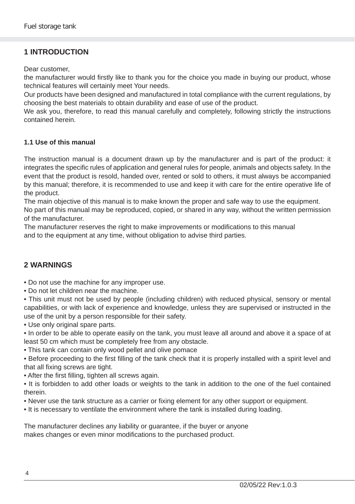#### **1 INTRODUCTION**

Dear customer,

the manufacturer would firstly like to thank you for the choice you made in buying our product, whose technical features will certainly meet Your needs.

Our products have been designed and manufactured in total compliance with the current regulations, by choosing the best materials to obtain durability and ease of use of the product.

We ask you, therefore, to read this manual carefully and completely, following strictly the instructions contained herein.

#### **1.1 Use of this manual**

The instruction manual is a document drawn up by the manufacturer and is part of the product: it integrates the specific rules of application and general rules for people, animals and objects safety. In the event that the product is resold, handed over, rented or sold to others, it must always be accompanied by this manual; therefore, it is recommended to use and keep it with care for the entire operative life of the product.

The main objective of this manual is to make known the proper and safe way to use the equipment.

No part of this manual may be reproduced, copied, or shared in any way, without the written permission of the manufacturer.

The manufacturer reserves the right to make improvements or modifications to this manual and to the equipment at any time, without obligation to advise third parties.

#### **2 WARNINGS**

- Do not use the machine for any improper use.
- Do not let children near the machine.

• This unit must not be used by people (including children) with reduced physical, sensory or mental capabilities, or with lack of experience and knowledge, unless they are supervised or instructed in the use of the unit by a person responsible for their safety.

• Use only original spare parts.

• In order to be able to operate easily on the tank, you must leave all around and above it a space of at least 50 cm which must be completely free from any obstacle.

- This tank can contain only wood pellet and olive pomace
- Before proceeding to the first filling of the tank check that it is properly installed with a spirit level and that all fixing screws are tight.
- After the first filling, tighten all screws again.
- It is forbidden to add other loads or weights to the tank in addition to the one of the fuel contained therein.
- Never use the tank structure as a carrier or fixing element for any other support or equipment.
- It is necessary to ventilate the environment where the tank is installed during loading.

The manufacturer declines any liability or guarantee, if the buyer or anyone makes changes or even minor modifications to the purchased product.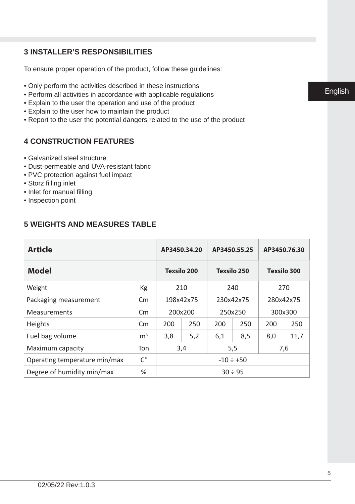#### **3 INSTALLER'S RESPONSIBILITIES**

To ensure proper operation of the product, follow these guidelines:

- Only perform the activities described in these instructions
- Perform all activities in accordance with applicable regulations
- Explain to the user the operation and use of the product
- Explain to the user how to maintain the product
- Report to the user the potential dangers related to the use of the product

#### **4 CONSTRUCTION FEATURES**

- Galvanized steel structure
- Dust-permeable and UVA-resistant fabric
- PVC protection against fuel impact
- Storz filling inlet
- Inlet for manual filling
- Inspection point

#### **5 WEIGHTS AND MEASURES TABLE**

| <b>Article</b>                  | AP3450.34.20            |              | AP3450.55.25       |           | AP3450.76.30 |           |      |
|---------------------------------|-------------------------|--------------|--------------------|-----------|--------------|-----------|------|
| <b>Model</b>                    | <b>Texsilo 200</b>      |              | <b>Texsilo 250</b> |           | Texsilo 300  |           |      |
| Weight                          | Кg                      | 210          |                    | 240       |              | 270       |      |
| Packaging measurement           | $\mathsf{C} \mathsf{m}$ | 198x42x75    |                    | 230x42x75 |              | 280x42x75 |      |
| <b>Measurements</b>             | $\mathsf{C} \mathsf{m}$ | 200x200      |                    | 250x250   |              | 300x300   |      |
| Heights                         | Cm                      | 200          | 250                | 200       | 250          | 200       | 250  |
| Fuel bag volume                 | m <sup>3</sup>          | 3,8          | 5,2                | 6,1       | 8,5          | 8,0       | 11,7 |
| Maximum capacity<br>Ton<br>3,4  |                         | 5,5          |                    | 7,6       |              |           |      |
| Operating temperature min/max   | С°                      |              | $-10 \div +50$     |           |              |           |      |
| %<br>Degree of humidity min/max |                         | $30 \div 95$ |                    |           |              |           |      |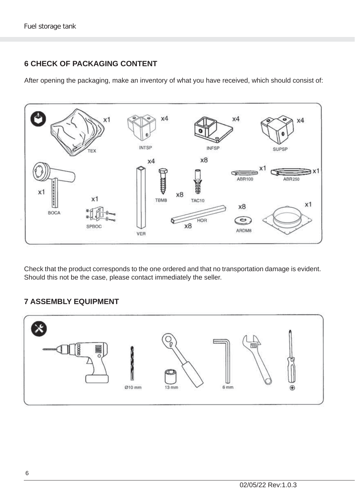#### **6 CHECK OF PACKAGING CONTENT**

After opening the packaging, make an inventory of what you have received, which should consist of:



Check that the product corresponds to the one ordered and that no transportation damage is evident. Should this not be the case, please contact immediately the seller.

#### **7 ASSEMBLY EQUIPMENT**

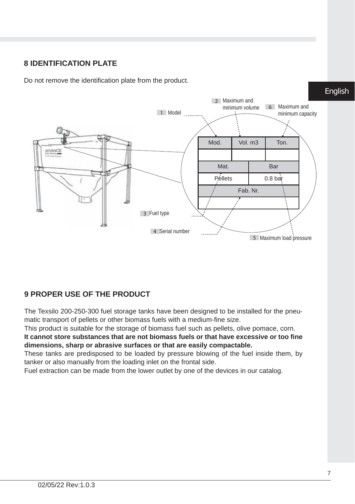#### **8 IDENTIFICATION PLATE**

Do not remove the identification plate from the product.



#### **9 PROPER USE OF THE PRODUCT**

The Texsilo 200-250-300 fuel storage tanks have been designed to be installed for the pneumatic transport of pellets or other biomass fuels with a medium-fine size.

This product is suitable for the storage of biomass fuel such as pellets, olive pomace, corn. **It cannot store substances that are not biomass fuels or that have excessive or too fi ne dimensions, sharp or abrasive surfaces or that are easily compactable.**

These tanks are predisposed to be loaded by pressure blowing of the fuel inside them, by tanker or also manually from the loading inlet on the frontal side.

Fuel extraction can be made from the lower outlet by one of the devices in our catalog.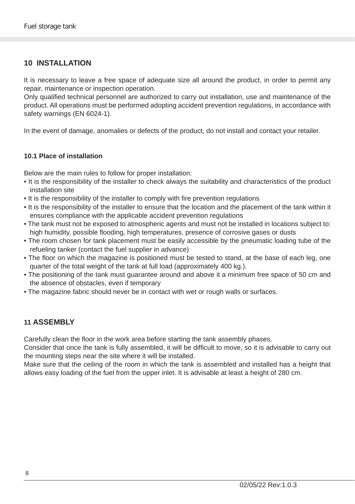#### **10 INSTALLATION**

It is necessary to leave a free space of adequate size all around the product, in order to permit any repair, maintenance or inspection operation.

Only qualified technical personnel are authorized to carry out installation, use and maintenance of the product. All operations must be performed adopting accident prevention regulations, in accordance with safety warnings (EN 6024-1).

In the event of damage, anomalies or defects of the product, do not install and contact your retailer.

#### **10.1 Place of installation**

Below are the main rules to follow for proper installation:

- It is the responsibility of the installer to check always the suitability and characteristics of the product installation site
- It is the responsibility of the installer to comply with fire prevention regulations
- It is the responsibility of the installer to ensure that the location and the placement of the tank within it ensures compliance with the applicable accident prevention regulations
- The tank must not be exposed to atmospheric agents and must not be installed in locations subject to: high humidity, possible flooding, high temperatures, presence of corrosive gases or dusts
- The room chosen for tank placement must be easily accessible by the pneumatic loading tube of the refueling tanker (contact the fuel supplier in advance)
- The floor on which the magazine is positioned must be tested to stand, at the base of each leg, one quarter of the total weight of the tank at full load (approximately 400 kg.).
- The positioning of the tank must guarantee around and above it a minimum free space of 50 cm and the absence of obstacles, even if temporary
- The magazine fabric should never be in contact with wet or rough walls or surfaces.

#### **11 ASSEMBLY**

Carefully clean the floor in the work area before starting the tank assembly phases.

Consider that once the tank is fully assembled, it will be difficult to move, so it is advisable to carry out the mounting steps near the site where it will be installed.

Make sure that the ceiling of the room in which the tank is assembled and installed has a height that allows easy loading of the fuel from the upper inlet. It is advisable at least a height of 280 cm.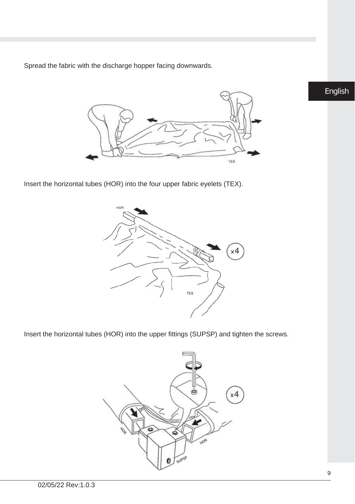Spread the fabric with the discharge hopper facing downwards.



Insert the horizontal tubes (HOR) into the four upper fabric eyelets (TEX).



Insert the horizontal tubes (HOR) into the upper fittings (SUPSP) and tighten the screws.

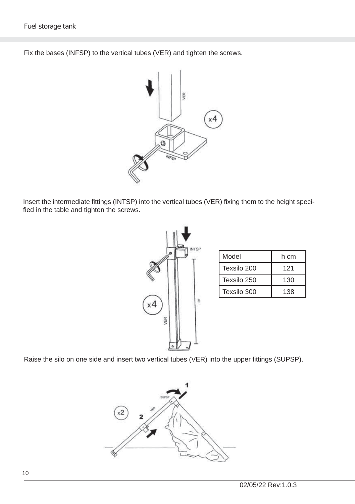Fix the bases (INFSP) to the vertical tubes (VER) and tighten the screws.



Insert the intermediate fittings (INTSP) into the vertical tubes (VER) fixing them to the height specified in the table and tighten the screws.



| Model       | h cm |  |  |  |
|-------------|------|--|--|--|
| Texsilo 200 | 121  |  |  |  |
| Texsilo 250 | 130  |  |  |  |
| Texsilo 300 | 138  |  |  |  |

Raise the silo on one side and insert two vertical tubes (VER) into the upper fittings (SUPSP).

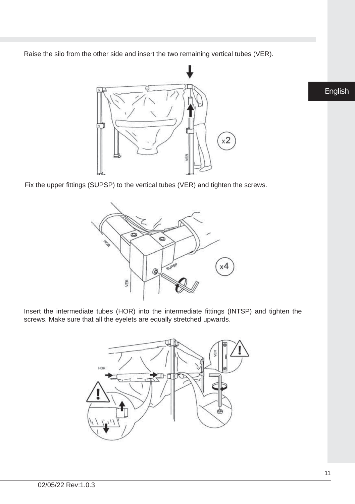Raise the silo from the other side and insert the two remaining vertical tubes (VER).



Fix the upper fittings (SUPSP) to the vertical tubes (VER) and tighten the screws.



Insert the intermediate tubes (HOR) into the intermediate fittings (INTSP) and tighten the screws. Make sure that all the eyelets are equally stretched upwards.

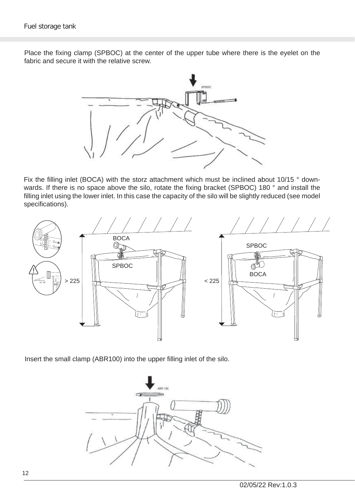Place the fixing clamp (SPBOC) at the center of the upper tube where there is the eyelet on the fabric and secure it with the relative screw.



Fix the filling inlet (BOCA) with the storz attachment which must be inclined about 10/15 ° downwards. If there is no space above the silo, rotate the fixing bracket (SPBOC) 180 ° and install the filling inlet using the lower inlet. In this case the capacity of the silo will be slightly reduced (see model specifications).



Insert the small clamp (ABR100) into the upper filling inlet of the silo.

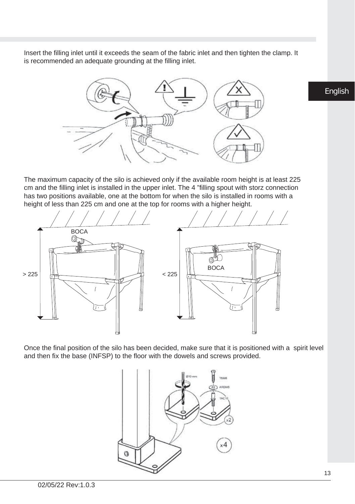Insert the filling inlet until it exceeds the seam of the fabric inlet and then tighten the clamp. It is recommended an adequate grounding at the filling inlet.



The maximum capacity of the silo is achieved only if the available room height is at least 225 cm and the filling inlet is installed in the upper inlet. The 4 "filling spout with storz connection has two positions available, one at the bottom for when the silo is installed in rooms with a height of less than 225 cm and one at the top for rooms with a higher height.



Once the final position of the silo has been decided, make sure that it is positioned with a spirit level and then fix the base (INFSP) to the floor with the dowels and screws provided.

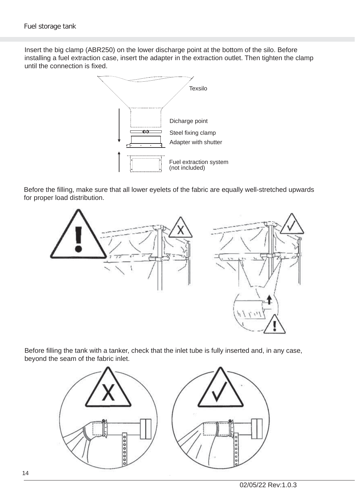Insert the big clamp (ABR250) on the lower discharge point at the bottom of the silo. Before installing a fuel extraction case, insert the adapter in the extraction outlet. Then tighten the clamp until the connection is fixed.



Before the filling, make sure that all lower evelets of the fabric are equally well-stretched upwards for proper load distribution.



Before filling the tank with a tanker, check that the inlet tube is fully inserted and, in any case, beyond the seam of the fabric inlet.

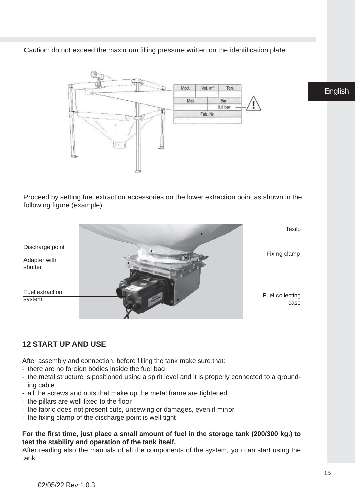Caution: do not exceed the maximum filling pressure written on the identification plate.



Proceed by setting fuel extraction accessories on the lower extraction point as shown in the following figure (example).



#### **12 START UP AND USE**

After assembly and connection, before filling the tank make sure that:

- there are no foreign bodies inside the fuel bag
- the metal structure is positioned using a spirit level and it is properly connected to a grounding cable
- all the screws and nuts that make up the metal frame are tightened
- the pillars are well fixed to the floor
- the fabric does not present cuts, unsewing or damages, even if minor
- the fixing clamp of the discharge point is well tight

#### **For the fi rst time, just place a small amount of fuel in the storage tank (200/300 kg.) to test the stability and operation of the tank itself.**

After reading also the manuals of all the components of the system, you can start using the tank.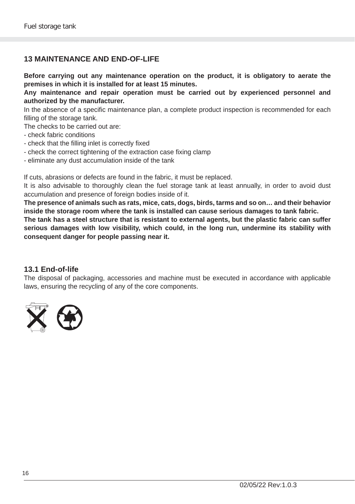#### **13 MAINTENANCE AND END-OF-LIFE**

**Before carrying out any maintenance operation on the product, it is obligatory to aerate the premises in which it is installed for at least 15 minutes.**

**Any maintenance and repair operation must be carried out by experienced personnel and authorized by the manufacturer.**

In the absence of a specific maintenance plan, a complete product inspection is recommended for each filling of the storage tank.

The checks to be carried out are:

- check fabric conditions
- check that the filling inlet is correctly fixed
- check the correct tightening of the extraction case fixing clamp
- eliminate any dust accumulation inside of the tank

If cuts, abrasions or defects are found in the fabric, it must be replaced.

It is also advisable to thoroughly clean the fuel storage tank at least annually, in order to avoid dust accumulation and presence of foreign bodies inside of it.

**The presence of animals such as rats, mice, cats, dogs, birds, tarms and so on… and their behavior inside the storage room where the tank is installed can cause serious damages to tank fabric.**

**The tank has a steel structure that is resistant to external agents, but the plastic fabric can suffer serious damages with low visibility, which could, in the long run, undermine its stability with consequent danger for people passing near it.**

#### **13.1 End-of-life**

The disposal of packaging, accessories and machine must be executed in accordance with applicable laws, ensuring the recycling of any of the core components.

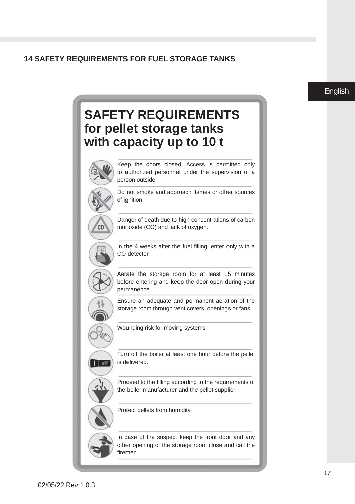#### **14 SAFETY REQUIREMENTS FOR FUEL STORAGE TANKS**

#### English

### **SAFETY REQUIREMENTS for pellet storage tanks with capacity up to 10 t**



Keep the doors closed. Access is permitted only to authorized personnel under the supervision of a person outside

Do not smoke and approach flames or other sources of ianition.



 $\overline{\phantom{a}}$  off

Danger of death due to high concentrations of carbon monoxide (CO) and lack of oxygen.

In the 4 weeks after the fuel filling, enter only with a CO detector.

Aerate the storage room for at least 15 minutes before entering and keep the door open during your permanence.

Ensure an adequate and permanent aeration of the storage room through vent covers, openings or fans.

Wounding risk for moving systems

Turn off the boiler at least one hour before the pellet is delivered.

Proceed to the filling according to the requirements of the boiler manufacturer and the pellet supplier.

Protect pellets from humidity

In case of fire suspect keep the front door and any other opening of the storage room close and call the firemen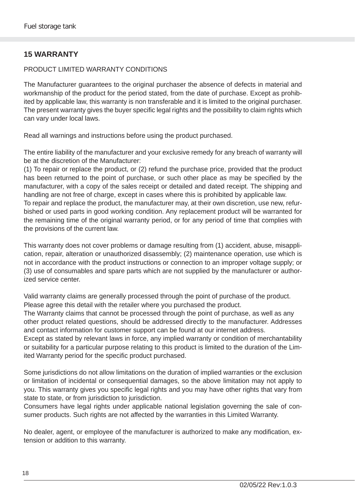#### **15 WARRANTY**

#### PRODUCT LIMITED WARRANTY CONDITIONS

The Manufacturer guarantees to the original purchaser the absence of defects in material and workmanship of the product for the period stated, from the date of purchase. Except as prohibited by applicable law, this warranty is non transferable and it is limited to the original purchaser. The present warranty gives the buyer specific legal rights and the possibility to claim rights which can vary under local laws.

Read all warnings and instructions before using the product purchased.

The entire liability of the manufacturer and your exclusive remedy for any breach of warranty will be at the discretion of the Manufacturer:

(1) To repair or replace the product, or (2) refund the purchase price, provided that the product has been returned to the point of purchase, or such other place as may be specified by the manufacturer, with a copy of the sales receipt or detailed and dated receipt. The shipping and handling are not free of charge, except in cases where this is prohibited by applicable law.

To repair and replace the product, the manufacturer may, at their own discretion, use new, refurbished or used parts in good working condition. Any replacement product will be warranted for the remaining time of the original warranty period, or for any period of time that complies with the provisions of the current law.

This warranty does not cover problems or damage resulting from (1) accident, abuse, misapplication, repair, alteration or unauthorized disassembly; (2) maintenance operation, use which is not in accordance with the product instructions or connection to an improper voltage supply; or (3) use of consumables and spare parts which are not supplied by the manufacturer or authorized service center.

Valid warranty claims are generally processed through the point of purchase of the product. Please agree this detail with the retailer where you purchased the product.

The Warranty claims that cannot be processed through the point of purchase, as well as any other product related questions, should be addressed directly to the manufacturer. Addresses and contact information for customer support can be found at our internet address.

Except as stated by relevant laws in force, any implied warranty or condition of merchantability or suitability for a particular purpose relating to this product is limited to the duration of the Limited Warranty period for the specific product purchased.

Some jurisdictions do not allow limitations on the duration of implied warranties or the exclusion or limitation of incidental or consequential damages, so the above limitation may not apply to you. This warranty gives you specific legal rights and you may have other rights that vary from state to state, or from jurisdiction to jurisdiction.

Consumers have legal rights under applicable national legislation governing the sale of consumer products. Such rights are not affected by the warranties in this Limited Warranty.

No dealer, agent, or employee of the manufacturer is authorized to make any modification, extension or addition to this warranty.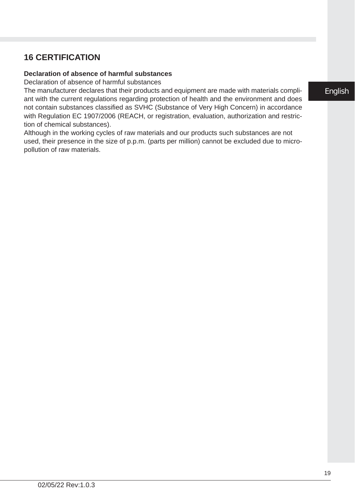#### ant with the current regulations regarding protection of health and the environment and does not contain substances classified as SVHC (Substance of Very High Concern) in accordance with Regulation EC 1907/2006 (REACH, or registration, evaluation, authorization and restric-

**16 CERTIFICATION**

**Declaration of absence of harmful substances** Declaration of absence of harmful substances

tion of chemical substances). Although in the working cycles of raw materials and our products such substances are not used, their presence in the size of p.p.m. (parts per million) cannot be excluded due to micropollution of raw materials.

The manufacturer declares that their products and equipment are made with materials compli-